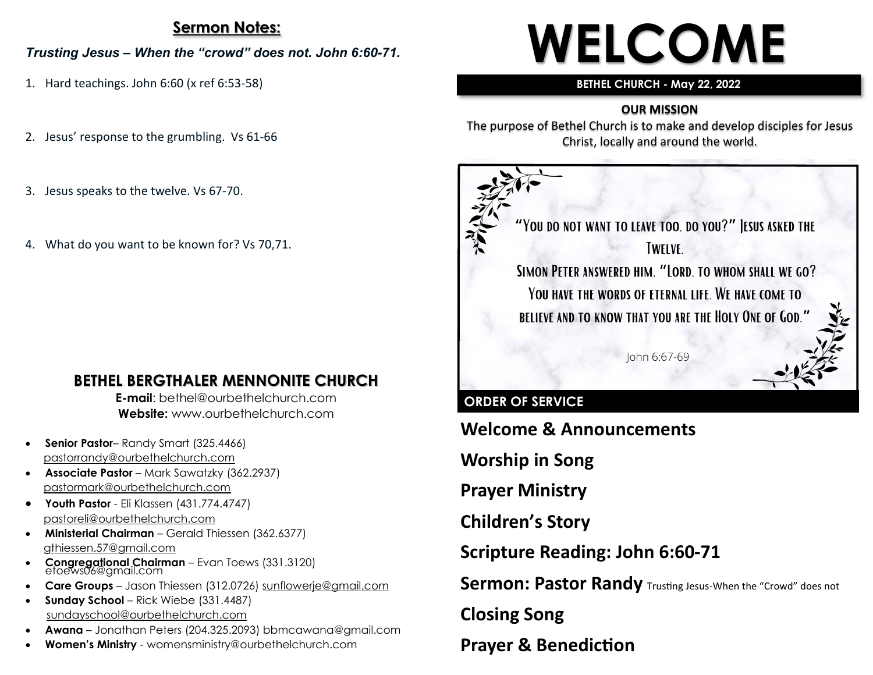## **Sermon Notes:**

#### *Trusting Jesus – When the "crowd" does not. John 6:60-71.*

- 1. Hard teachings. John 6:60 (x ref 6:53-58)
- 2. Jesus' response to the grumbling. Vs 61-66
- 3. Jesus speaks to the twelve. Vs 67-70.
- 4. What do you want to be known for? Vs 70,71.

## **BETHEL BERGTHALER MENNONITE CHURCH**

**E-mail**: bethel@ourbethelchurch.com **Website:** www.ourbethelchurch.com

- **Senior Pastor** Randy Smart (325.4466) pastorrandy@ourbethelchurch.com
- **Associate Pastor** Mark Sawatzky (362.2937) [pastormark@ourbethelchurch.com](mailto:pastormark@ourbethelchurch.com)
- **Youth Pastor**  Eli Klassen (431.774.4747) pastoreli@ourbethelchurch.com
- **Ministerial Chairman** Gerald Thiessen (362.6377) gthiessen.57@gmail.com
- **Congregational Chairman** Evan Toews (331.3120) etoews06@gmail.com
- **Care Groups** Jason Thiessen (312.0726) [sunflowerje@gmail.com](mailto:sunflowerje@gmail.com)
- **Sunday School** Rick Wiebe (331.4487) sundayschool@ourbethelchurch.com
- **Awana** Jonathan Peters (204.325.2093) bbmcawana@gmail.com
- **Women's Ministry**  womensministry@ourbethelchurch.com

# **WELCOME**

#### **BETHEL CHURCH - May 22, 2022**

## **OUR MISSION**

The purpose of Bethel Church is to make and develop disciples for Jesus Christ, locally and around the world.



## **ORDER OF SERVICE**

**Welcome & Announcements**

**Worship in Song**

**Prayer Ministry**

**Children's Story**

**Scripture Reading: John 6:60-71**

**Sermon: Pastor Randy** Trusting Jesus-When the "Crowd" does not

**Closing Song**

**Prayer & Benediction**